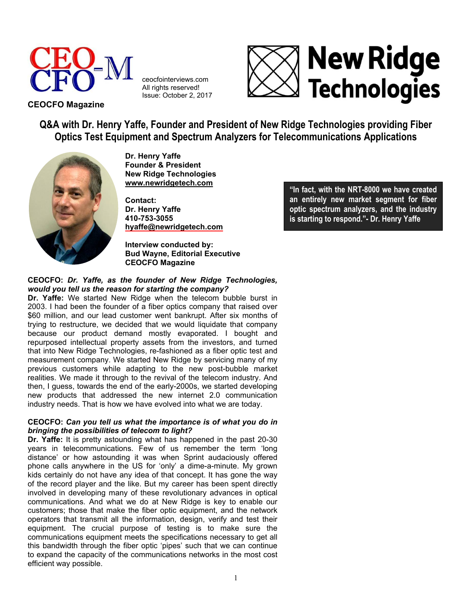

ceocfointerviews.com All rights reserved! Issue: October 2, 2017



**CEOCFO Magazine**

**Q&A with Dr. Henry Yaffe, Founder and President of New Ridge Technologies providing Fiber Optics Test Equipment and Spectrum Analyzers for Telecommunications Applications**



**Dr. Henry Yaffe Founder & President New Ridge Technologies [www.newridgetech.com](http://www.newridgetech.com/)** 

**Contact: Dr. Henry Yaffe 410-753-3055 [hyaffe@newridgetech.com](mailto:hyaffe@newridgetech.com)** 

**Interview conducted by: Bud Wayne, Editorial Executive CEOCFO Magazine**

## **CEOCFO:** *Dr. Yaffe, as the founder of New Ridge Technologies, would you tell us the reason for starting the company?*

**Dr. Yaffe:** We started New Ridge when the telecom bubble burst in 2003. I had been the founder of a fiber optics company that raised over \$60 million, and our lead customer went bankrupt. After six months of trying to restructure, we decided that we would liquidate that company because our product demand mostly evaporated. I bought and repurposed intellectual property assets from the investors, and turned that into New Ridge Technologies, re-fashioned as a fiber optic test and measurement company. We started New Ridge by servicing many of my previous customers while adapting to the new post-bubble market realities. We made it through to the revival of the telecom industry. And then, I guess, towards the end of the early-2000s, we started developing new products that addressed the new internet 2.0 communication industry needs. That is how we have evolved into what we are today.

# **CEOCFO:** *Can you tell us what the importance is of what you do in bringing the possibilities of telecom to light?*

**Dr. Yaffe:** It is pretty astounding what has happened in the past 20-30 years in telecommunications. Few of us remember the term 'long distance' or how astounding it was when Sprint audaciously offered phone calls anywhere in the US for 'only' a dime-a-minute. My grown kids certainly do not have any idea of that concept. It has gone the way of the record player and the like. But my career has been spent directly involved in developing many of these revolutionary advances in optical communications. And what we do at New Ridge is key to enable our customers; those that make the fiber optic equipment, and the network operators that transmit all the information, design, verify and test their equipment. The crucial purpose of testing is to make sure the communications equipment meets the specifications necessary to get all this bandwidth through the fiber optic 'pipes' such that we can continue to expand the capacity of the communications networks in the most cost efficient way possible.

**"In fact, with the NRT-8000 we have created an entirely new market segment for fiber optic spectrum analyzers, and the industry is starting to respond."- Dr. Henry Yaffe**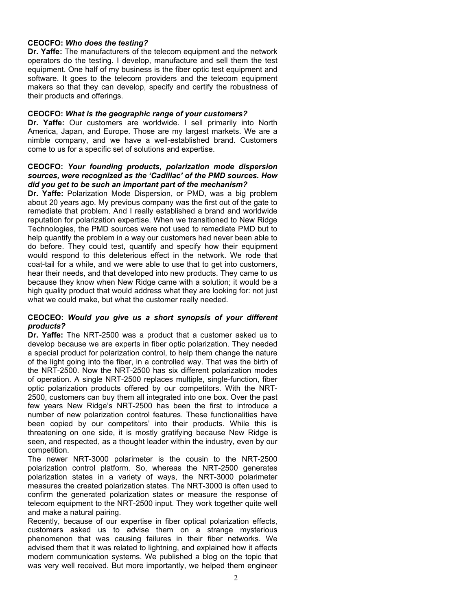### **CEOCFO:** *Who does the testing?*

**Dr. Yaffe:** The manufacturers of the telecom equipment and the network operators do the testing. I develop, manufacture and sell them the test equipment. One half of my business is the fiber optic test equipment and software. It goes to the telecom providers and the telecom equipment makers so that they can develop, specify and certify the robustness of their products and offerings.

#### **CEOCFO:** *What is the geographic range of your customers?*

**Dr. Yaffe:** Our customers are worldwide. I sell primarily into North America, Japan, and Europe. Those are my largest markets. We are a nimble company, and we have a well-established brand. Customers come to us for a specific set of solutions and expertise.

### **CEOCFO:** *Your founding products, polarization mode dispersion sources, were recognized as the 'Cadillac' of the PMD sources. How did you get to be such an important part of the mechanism?*

**Dr. Yaffe:** Polarization Mode Dispersion, or PMD, was a big problem about 20 years ago. My previous company was the first out of the gate to remediate that problem. And I really established a brand and worldwide reputation for polarization expertise. When we transitioned to New Ridge Technologies, the PMD sources were not used to remediate PMD but to help quantify the problem in a way our customers had never been able to do before. They could test, quantify and specify how their equipment would respond to this deleterious effect in the network. We rode that coat-tail for a while, and we were able to use that to get into customers, hear their needs, and that developed into new products. They came to us because they know when New Ridge came with a solution; it would be a high quality product that would address what they are looking for: not just what we could make, but what the customer really needed.

## **CEOCEO:** *Would you give us a short synopsis of your different products?*

**Dr. Yaffe:** The NRT-2500 was a product that a customer asked us to develop because we are experts in fiber optic polarization. They needed a special product for polarization control, to help them change the nature of the light going into the fiber, in a controlled way. That was the birth of the NRT-2500. Now the NRT-2500 has six different polarization modes of operation. A single NRT-2500 replaces multiple, single-function, fiber optic polarization products offered by our competitors. With the NRT-2500, customers can buy them all integrated into one box. Over the past few years New Ridge's NRT-2500 has been the first to introduce a number of new polarization control features. These functionalities have been copied by our competitors' into their products. While this is threatening on one side, it is mostly gratifying because New Ridge is seen, and respected, as a thought leader within the industry, even by our competition.

The newer NRT-3000 polarimeter is the cousin to the NRT-2500 polarization control platform. So, whereas the NRT-2500 generates polarization states in a variety of ways, the NRT-3000 polarimeter measures the created polarization states. The NRT-3000 is often used to confirm the generated polarization states or measure the response of telecom equipment to the NRT-2500 input. They work together quite well and make a natural pairing.

Recently, because of our expertise in fiber optical polarization effects, customers asked us to advise them on a strange mysterious phenomenon that was causing failures in their fiber networks. We advised them that it was related to lightning, and explained how it affects modern communication systems. We published a blog on the topic that was very well received. But more importantly, we helped them engineer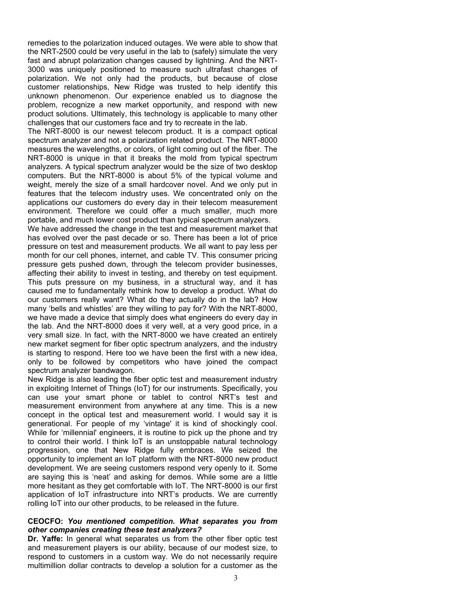remedies to the polarization induced outages. We were able to show that the NRT-2500 could be very useful in the lab to (safely) simulate the very fast and abrupt polarization changes caused by lightning. And the NRT-3000 was uniquely positioned to measure such ultrafast changes of polarization. We not only had the products, but because of close customer relationships, New Ridge was trusted to help identify this unknown phenomenon. Our experience enabled us to diagnose the problem, recognize a new market opportunity, and respond with new product solutions. Ultimately, this technology is applicable to many other challenges that our customers face and try to recreate in the lab.

The NRT-8000 is our newest telecom product. It is a compact optical spectrum analyzer and not a polarization related product. The NRT-8000 measures the wavelengths, or colors, of light coming out of the fiber. The NRT-8000 is unique in that it breaks the mold from typical spectrum analyzers. A typical spectrum analyzer would be the size of two desktop computers. But the NRT-8000 is about 5% of the typical volume and weight, merely the size of a small hardcover novel. And we only put in features that the telecom industry uses. We concentrated only on the applications our customers do every day in their telecom measurement environment. Therefore we could offer a much smaller, much more portable, and much lower cost product than typical spectrum analyzers.

We have addressed the change in the test and measurement market that has evolved over the past decade or so. There has been a lot of price pressure on test and measurement products. We all want to pay less per month for our cell phones, internet, and cable TV. This consumer pricing pressure gets pushed down, through the telecom provider businesses, affecting their ability to invest in testing, and thereby on test equipment. This puts pressure on my business, in a structural way, and it has caused me to fundamentally rethink how to develop a product. What do our customers really want? What do they actually do in the lab? How many 'bells and whistles' are they willing to pay for? With the NRT-8000, we have made a device that simply does what engineers do every day in the lab. And the NRT-8000 does it very well, at a very good price, in a very small size. In fact, with the NRT-8000 we have created an entirely new market segment for fiber optic spectrum analyzers, and the industry is starting to respond. Here too we have been the first with a new idea, only to be followed by competitors who have joined the compact spectrum analyzer bandwagon.

New Ridge is also leading the fiber optic test and measurement industry in exploiting Internet of Things (IoT) for our instruments. Specifically, you can use your smart phone or tablet to control NRT's test and measurement environment from anywhere at any time. This is a new concept in the optical test and measurement world. I would say it is generational. For people of my 'vintage' it is kind of shockingly cool. While for 'millennial' engineers, it is routine to pick up the phone and try to control their world. I think IoT is an unstoppable natural technology progression, one that New Ridge fully embraces. We seized the opportunity to implement an IoT platform with the NRT-8000 new product development. We are seeing customers respond very openly to it. Some are saying this is 'neat' and asking for demos. While some are a little more hesitant as they get comfortable with IoT. The NRT-8000 is our first application of IoT infrastructure into NRT's products. We are currently rolling IoT into our other products, to be released in the future.

#### **CEOCFO:** *You mentioned competition. What separates you from other companies creating these test analyzers?*

**Dr. Yaffe:** In general what separates us from the other fiber optic test and measurement players is our ability, because of our modest size, to respond to customers in a custom way. We do not necessarily require multimillion dollar contracts to develop a solution for a customer as the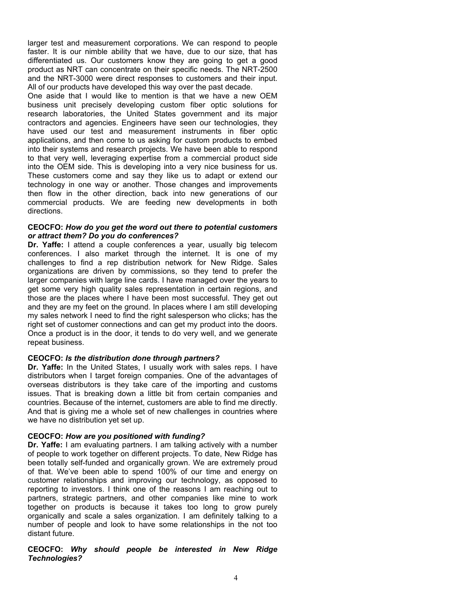larger test and measurement corporations. We can respond to people faster. It is our nimble ability that we have, due to our size, that has differentiated us. Our customers know they are going to get a good product as NRT can concentrate on their specific needs. The NRT-2500 and the NRT-3000 were direct responses to customers and their input. All of our products have developed this way over the past decade.

One aside that I would like to mention is that we have a new OEM business unit precisely developing custom fiber optic solutions for research laboratories, the United States government and its major contractors and agencies. Engineers have seen our technologies, they have used our test and measurement instruments in fiber optic applications, and then come to us asking for custom products to embed into their systems and research projects. We have been able to respond to that very well, leveraging expertise from a commercial product side into the OEM side. This is developing into a very nice business for us. These customers come and say they like us to adapt or extend our technology in one way or another. Those changes and improvements then flow in the other direction, back into new generations of our commercial products. We are feeding new developments in both directions.

#### **CEOCFO:** *How do you get the word out there to potential customers or attract them? Do you do conferences?*

**Dr. Yaffe:** I attend a couple conferences a year, usually big telecom conferences. I also market through the internet. It is one of my challenges to find a rep distribution network for New Ridge. Sales organizations are driven by commissions, so they tend to prefer the larger companies with large line cards. I have managed over the years to get some very high quality sales representation in certain regions, and those are the places where I have been most successful. They get out and they are my feet on the ground. In places where I am still developing my sales network I need to find the right salesperson who clicks; has the right set of customer connections and can get my product into the doors. Once a product is in the door, it tends to do very well, and we generate repeat business.

## **CEOCFO:** *Is the distribution done through partners?*

**Dr. Yaffe:** In the United States, I usually work with sales reps. I have distributors when I target foreign companies. One of the advantages of overseas distributors is they take care of the importing and customs issues. That is breaking down a little bit from certain companies and countries. Because of the internet, customers are able to find me directly. And that is giving me a whole set of new challenges in countries where we have no distribution yet set up.

# **CEOCFO:** *How are you positioned with funding?*

**Dr. Yaffe:** I am evaluating partners. I am talking actively with a number of people to work together on different projects. To date, New Ridge has been totally self-funded and organically grown. We are extremely proud of that. We've been able to spend 100% of our time and energy on customer relationships and improving our technology, as opposed to reporting to investors. I think one of the reasons I am reaching out to partners, strategic partners, and other companies like mine to work together on products is because it takes too long to grow purely organically and scale a sales organization. I am definitely talking to a number of people and look to have some relationships in the not too distant future.

## **CEOCFO:** *Why should people be interested in New Ridge Technologies?*